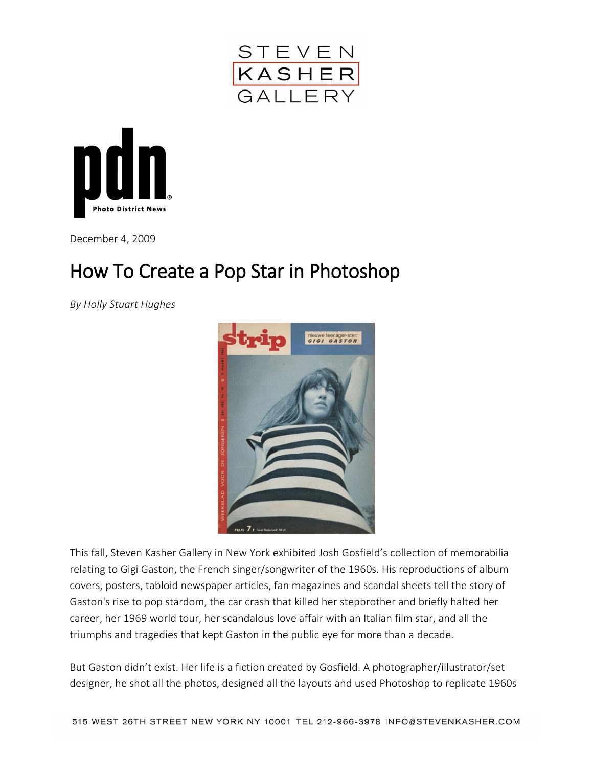



December 4, 2009

## How To Create a Pop Star in Photoshop

*By Holly Stuart Hughes*



This fall, [Steven Kasher Gallery](http://www.stevenkasher.com/html/exhibinfo.asp?exnum=1069) in New York exhibited Josh Gosfield's collection of memorabilia relating to Gigi Gaston, the French singer/songwriter of the 1960s. His reproductions of album covers, posters, tabloid newspaper articles, fan magazines and scandal sheets tell the story of Gaston's rise to pop stardom, the car crash that killed her stepbrother and briefly halted her career, her 1969 world tour, her scandalous love affair with an Italian film star, and all the triumphs and tragedies that kept Gaston in the public eye for more than a decade.

But Gaston didn't exist. Her life is a fiction created by Gosfield. A photographer/illustrator/set designer, he shot all the photos, designed all the layouts and used Photoshop to replicate 1960s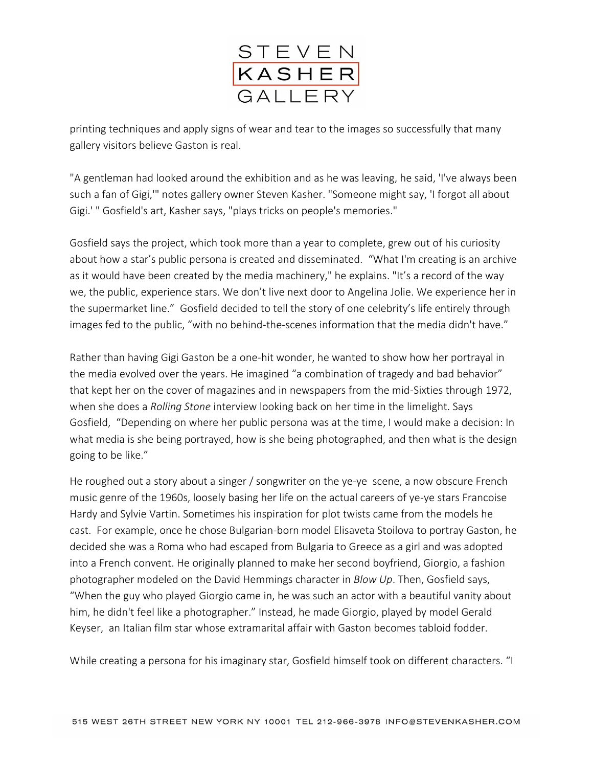

printing techniques and apply signs of wear and tear to the images so successfully that many gallery visitors believe Gaston is real.

"A gentleman had looked around the exhibition and as he was leaving, he said, 'I've always been such a fan of Gigi,'" notes gallery owner Steven Kasher. "Someone might say, 'I forgot all about Gigi.' " Gosfield's art, Kasher says, "plays tricks on people's memories."

Gosfield says the project, which took more than a year to complete, grew out of his curiosity about how a star's public persona is created and disseminated. "What I'm creating is an archive as it would have been created by the media machinery," he explains. "It's a record of the way we, the public, experience stars. We don't live next door to Angelina Jolie. We experience her in the supermarket line." Gosfield decided to tell the story of one celebrity's life entirely through images fed to the public, "with no behind-the-scenes information that the media didn't have."

Rather than having Gigi Gaston be a one-hit wonder, he wanted to show how her portrayal in the media evolved over the years. He imagined "a combination of tragedy and bad behavior" that kept her on the cover of magazines and in newspapers from the mid-Sixties through 1972, when she does a *Rolling Stone* interview looking back on her time in the limelight. Says Gosfield, "Depending on where her public persona was at the time, I would make a decision: In what media is she being portrayed, how is she being photographed, and then what is the design going to be like."

He roughed out a story about a singer / songwriter on the ye-ye scene, a now obscure French music genre of the 1960s, loosely basing her life on the actual careers of ye-ye stars Francoise Hardy and Sylvie Vartin. Sometimes his inspiration for plot twists came from the models he cast. For example, once he chose Bulgarian-born model Elisaveta Stoilova to portray Gaston, he decided she was a Roma who had escaped from Bulgaria to Greece as a girl and was adopted into a French convent. He originally planned to make her second boyfriend, Giorgio, a fashion photographer modeled on the David Hemmings character in *Blow Up*. Then, Gosfield says, "When the guy who played Giorgio came in, he was such an actor with a beautiful vanity about him, he didn't feel like a photographer." Instead, he made Giorgio, played by model Gerald Keyser, an Italian film star whose extramarital affair with Gaston becomes tabloid fodder.

While creating a persona for his imaginary star, Gosfield himself took on different characters. "I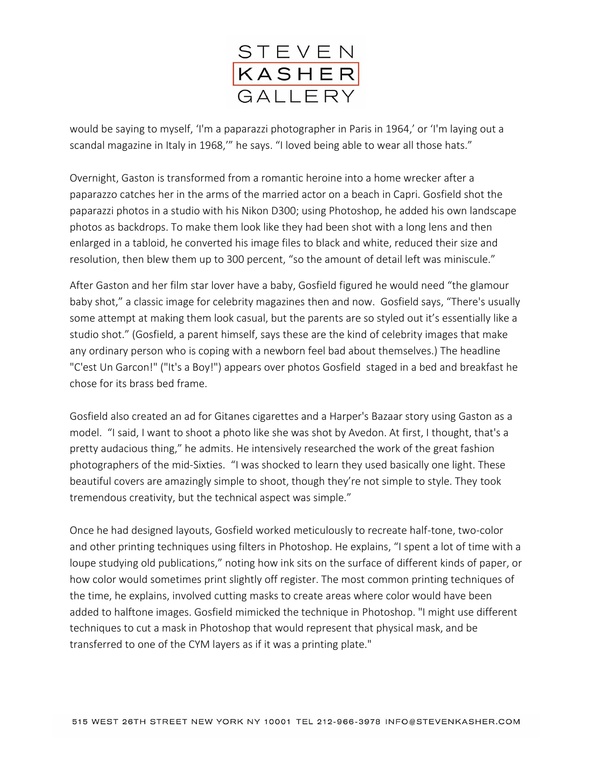

would be saying to myself, 'I'm a paparazzi photographer in Paris in 1964,' or 'I'm laying out a scandal magazine in Italy in 1968,'" he says. "I loved being able to wear all those hats."

Overnight, Gaston is transformed from a romantic heroine into a home wrecker after a paparazzo catches her in the arms of the married actor on a beach in Capri. Gosfield shot the paparazzi photos in a studio with his Nikon D300; using Photoshop, he added his own landscape photos as backdrops. To make them look like they had been shot with a long lens and then enlarged in a tabloid, he converted his image files to black and white, reduced their size and resolution, then blew them up to 300 percent, "so the amount of detail left was miniscule."

After Gaston and her film star lover have a baby, Gosfield figured he would need "the glamour baby shot," a classic image for celebrity magazines then and now. Gosfield says, "There's usually some attempt at making them look casual, but the parents are so styled out it's essentially like a studio shot." (Gosfield, a parent himself, says these are the kind of celebrity images that make any ordinary person who is coping with a newborn feel bad about themselves.) The headline "C'est Un Garcon!" ("It's a Boy!") appears over photos Gosfield staged in a bed and breakfast he chose for its brass bed frame.

Gosfield also created an ad for Gitanes cigarettes and a Harper's Bazaar story using Gaston as a model. "I said, I want to shoot a photo like she was shot by Avedon. At first, I thought, that's a pretty audacious thing," he admits. He intensively researched the work of the great fashion photographers of the mid-Sixties. "I was shocked to learn they used basically one light. These beautiful covers are amazingly simple to shoot, though they're not simple to style. They took tremendous creativity, but the technical aspect was simple."

Once he had designed layouts, Gosfield worked meticulously to recreate half-tone, two-color and other printing techniques using filters in Photoshop. He explains, "I spent a lot of time with a loupe studying old publications," noting how ink sits on the surface of different kinds of paper, or how color would sometimes print slightly off register. The most common printing techniques of the time, he explains, involved cutting masks to create areas where color would have been added to halftone images. Gosfield mimicked the technique in Photoshop. "I might use different techniques to cut a mask in Photoshop that would represent that physical mask, and be transferred to one of the CYM layers as if it was a printing plate."